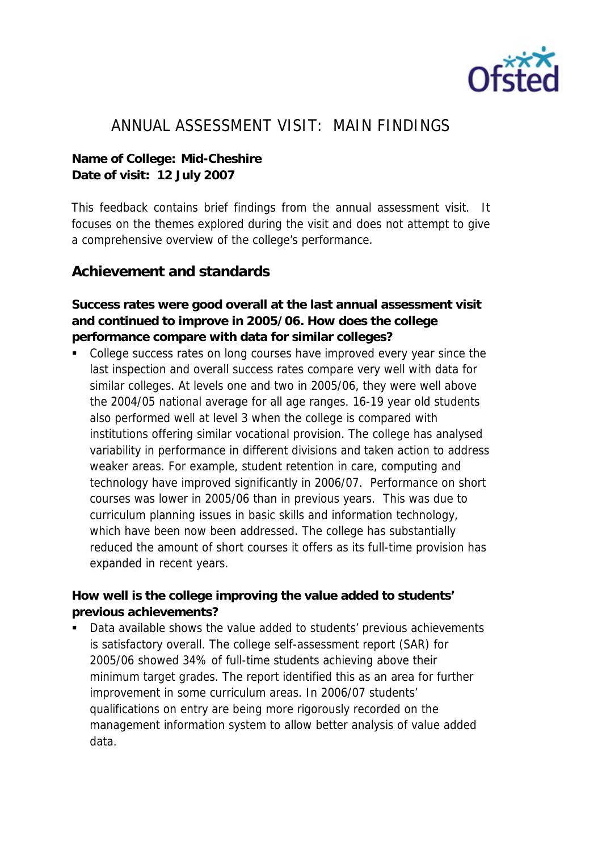

## ANNUAL ASSESSMENT VISIT: MAIN FINDINGS

**Name of College: Mid-Cheshire Date of visit: 12 July 2007** 

This feedback contains brief findings from the annual assessment visit. It focuses on the themes explored during the visit and does not attempt to give a comprehensive overview of the college's performance.

## **Achievement and standards**

**Success rates were good overall at the last annual assessment visit and continued to improve in 2005/06. How does the college performance compare with data for similar colleges?**

 College success rates on long courses have improved every year since the last inspection and overall success rates compare very well with data for similar colleges. At levels one and two in 2005/06, they were well above the 2004/05 national average for all age ranges. 16-19 year old students also performed well at level 3 when the college is compared with institutions offering similar vocational provision. The college has analysed variability in performance in different divisions and taken action to address weaker areas. For example, student retention in care, computing and technology have improved significantly in 2006/07. Performance on short courses was lower in 2005/06 than in previous years. This was due to curriculum planning issues in basic skills and information technology, which have been now been addressed. The college has substantially reduced the amount of short courses it offers as its full-time provision has expanded in recent years.

**How well is the college improving the value added to students' previous achievements?**

 Data available shows the value added to students' previous achievements is satisfactory overall. The college self-assessment report (SAR) for 2005/06 showed 34% of full-time students achieving above their minimum target grades. The report identified this as an area for further improvement in some curriculum areas. In 2006/07 students' qualifications on entry are being more rigorously recorded on the management information system to allow better analysis of value added data.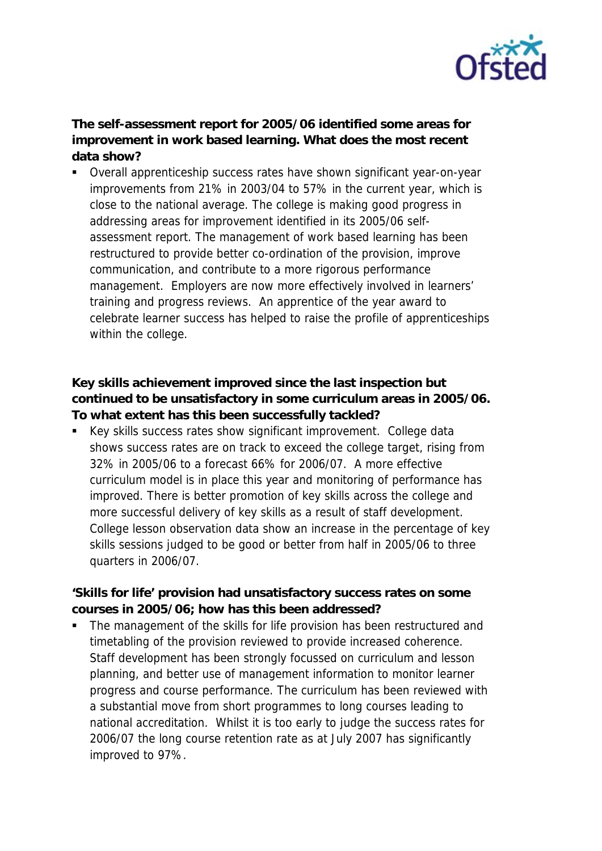

**The self-assessment report for 2005/06 identified some areas for improvement in work based learning. What does the most recent data show?**

 Overall apprenticeship success rates have shown significant year-on-year improvements from 21% in 2003/04 to 57% in the current year, which is close to the national average. The college is making good progress in addressing areas for improvement identified in its 2005/06 selfassessment report. The management of work based learning has been restructured to provide better co-ordination of the provision, improve communication, and contribute to a more rigorous performance management. Employers are now more effectively involved in learners' training and progress reviews. An apprentice of the year award to celebrate learner success has helped to raise the profile of apprenticeships within the college.

**Key skills achievement improved since the last inspection but continued to be unsatisfactory in some curriculum areas in 2005/06. To what extent has this been successfully tackled?**

 Key skills success rates show significant improvement. College data shows success rates are on track to exceed the college target, rising from 32% in 2005/06 to a forecast 66% for 2006/07. A more effective curriculum model is in place this year and monitoring of performance has improved. There is better promotion of key skills across the college and more successful delivery of key skills as a result of staff development. College lesson observation data show an increase in the percentage of key skills sessions judged to be good or better from half in 2005/06 to three quarters in 2006/07.

**'Skills for life' provision had unsatisfactory success rates on some courses in 2005/06; how has this been addressed?**

 The management of the skills for life provision has been restructured and timetabling of the provision reviewed to provide increased coherence. Staff development has been strongly focussed on curriculum and lesson planning, and better use of management information to monitor learner progress and course performance. The curriculum has been reviewed with a substantial move from short programmes to long courses leading to national accreditation. Whilst it is too early to judge the success rates for 2006/07 the long course retention rate as at July 2007 has significantly improved to 97%.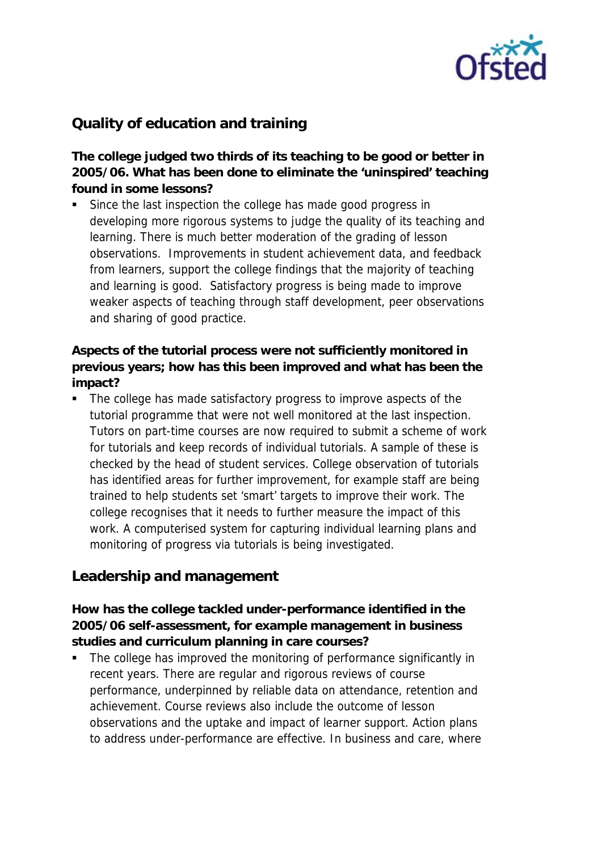

## **Quality of education and training**

**The college judged two thirds of its teaching to be good or better in 2005/06. What has been done to eliminate the 'uninspired' teaching found in some lessons?**

 Since the last inspection the college has made good progress in developing more rigorous systems to judge the quality of its teaching and learning. There is much better moderation of the grading of lesson observations. Improvements in student achievement data, and feedback from learners, support the college findings that the majority of teaching and learning is good. Satisfactory progress is being made to improve weaker aspects of teaching through staff development, peer observations and sharing of good practice.

**Aspects of the tutorial process were not sufficiently monitored in previous years; how has this been improved and what has been the impact?**

• The college has made satisfactory progress to improve aspects of the tutorial programme that were not well monitored at the last inspection. Tutors on part-time courses are now required to submit a scheme of work for tutorials and keep records of individual tutorials. A sample of these is checked by the head of student services. College observation of tutorials has identified areas for further improvement, for example staff are being trained to help students set 'smart' targets to improve their work. The college recognises that it needs to further measure the impact of this work. A computerised system for capturing individual learning plans and monitoring of progress via tutorials is being investigated.

## **Leadership and management**

**How has the college tackled under-performance identified in the 2005/06 self-assessment, for example management in business studies and curriculum planning in care courses?**

 The college has improved the monitoring of performance significantly in recent years. There are regular and rigorous reviews of course performance, underpinned by reliable data on attendance, retention and achievement. Course reviews also include the outcome of lesson observations and the uptake and impact of learner support. Action plans to address under-performance are effective. In business and care, where